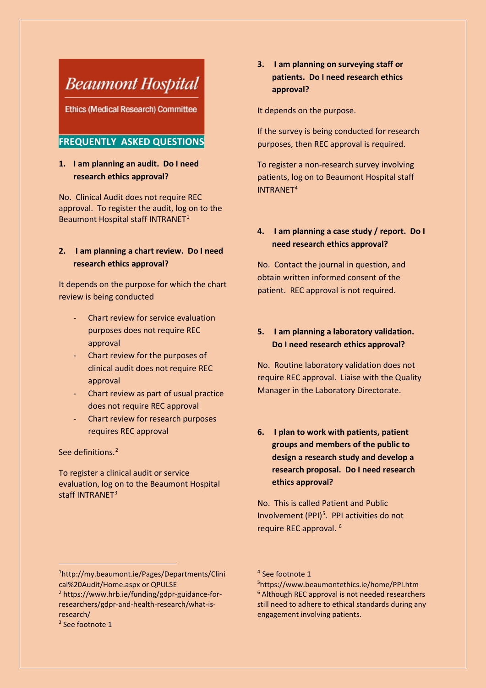# **Beaumont Hospital**

**Ethics (Medical Research) Committee** 

## **FREQUENTLY ASKED QUESTIONS**

## **1. I am planning an audit. Do I need research ethics approval?**

No. Clinical Audit does not require REC approval. To register the audit, log on to the Beaumont Hospital staff INTRANET<sup>[1](#page-0-0)</sup>

## **2. I am planning a chart review. Do I need research ethics approval?**

It depends on the purpose for which the chart review is being conducted

- Chart review for service evaluation purposes does not require REC approval
- Chart review for the purposes of clinical audit does not require REC approval
- Chart review as part of usual practice does not require REC approval
- Chart review for research purposes requires REC approval

## See definitions.<sup>[2](#page-0-1)</sup>

To register a clinical audit or service evaluation, log on to the Beaumont Hospital staff INTRANET<sup>3</sup>

# **3. I am planning on surveying staff or patients. Do I need research ethics approval?**

It depends on the purpose.

If the survey is being conducted for research purposes, then REC approval is required.

To register a non-research survey involving patients, log on to Beaumont Hospital staff INTRANET<sup>[4](#page-0-0)</sup>

## **4. I am planning a case study / report. Do I need research ethics approval?**

No. Contact the journal in question, and obtain written informed consent of the patient. REC approval is not required.

# **5. I am planning a laboratory validation. Do I need research ethics approval?**

No. Routine laboratory validation does not require REC approval. Liaise with the Quality Manager in the Laboratory Directorate.

**6. I plan to work with patients, patient groups and members of the public to design a research study and develop a research proposal. Do I need research ethics approval?**

No. This is called Patient and Public Involvement (PPI)<sup>[5](#page-0-3)</sup>. PPI activities do not require REC approval. [6](#page-0-1)

 $\overline{a}$ 

<span id="page-0-3"></span><span id="page-0-0"></span><sup>1</sup> [http://my.beaumont.ie/Pages/Departments/Clini](https://eur02.safelinks.protection.outlook.com/?url=http%3A%2F%2Fmy.beaumont.ie%2FPages%2FDepartments%2FClinical%2520Audit%2FHome.aspx&data=04%7C01%7Cgvale%40rcsi.ie%7Ce82f009e5588470c4a5e08d9f5215976%7C607041e7a8124670bd3030f9db210f06%7C0%7C0%7C637810345843058551%7CUnknown%7CTWFpbGZsb3d8eyJWIjoiMC4wLjAwMDAiLCJQIjoiV2luMzIiLCJBTiI6Ik1haWwiLCJXVCI6Mn0%3D%7C3000&sdata=xfJSi8AjQaQPK8j0%2BAKHi855AUKphthVDfa22M32LsU%3D&reserved=0) [cal%20Audit/Home.aspx](https://eur02.safelinks.protection.outlook.com/?url=http%3A%2F%2Fmy.beaumont.ie%2FPages%2FDepartments%2FClinical%2520Audit%2FHome.aspx&data=04%7C01%7Cgvale%40rcsi.ie%7Ce82f009e5588470c4a5e08d9f5215976%7C607041e7a8124670bd3030f9db210f06%7C0%7C0%7C637810345843058551%7CUnknown%7CTWFpbGZsb3d8eyJWIjoiMC4wLjAwMDAiLCJQIjoiV2luMzIiLCJBTiI6Ik1haWwiLCJXVCI6Mn0%3D%7C3000&sdata=xfJSi8AjQaQPK8j0%2BAKHi855AUKphthVDfa22M32LsU%3D&reserved=0) or QPULSE

<span id="page-0-1"></span><sup>2</sup> [https://www.hrb.ie/funding/gdpr-guidance-for](https://www.hrb.ie/funding/gdpr-guidance-for-researchers/gdpr-and-health-research/what-is-research/)[researchers/gdpr-and-health-research/what-is](https://www.hrb.ie/funding/gdpr-guidance-for-researchers/gdpr-and-health-research/what-is-research/)[research/](https://www.hrb.ie/funding/gdpr-guidance-for-researchers/gdpr-and-health-research/what-is-research/)

<span id="page-0-2"></span><sup>3</sup> See footnote 1

<sup>4</sup> See footnote 1

<sup>5</sup> <https://www.beaumontethics.ie/home/PPI.htm> <sup>6</sup> Although REC approval is not needed researchers still need to adhere to ethical standards during any engagement involving patients.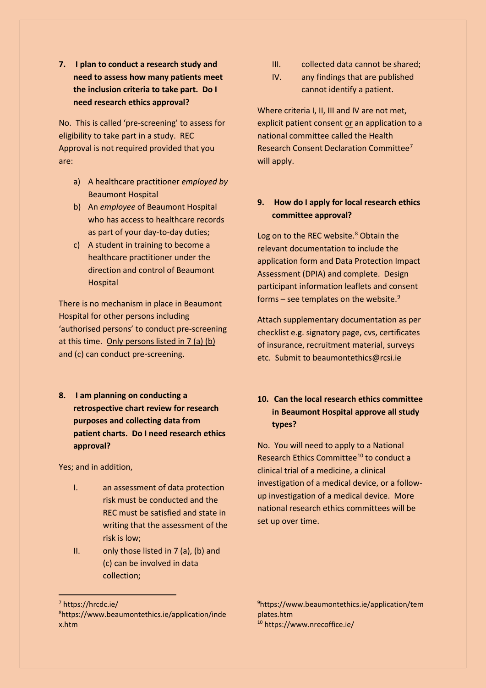**7. I plan to conduct a research study and need to assess how many patients meet the inclusion criteria to take part. Do I need research ethics approval?**

No. This is called 'pre-screening' to assess for eligibility to take part in a study. REC Approval is not required provided that you are:

- a) A healthcare practitioner *employed by* Beaumont Hospital
- b) An *employee* of Beaumont Hospital who has access to healthcare records as part of your day-to-day duties;
- c) A student in training to become a healthcare practitioner under the direction and control of Beaumont **Hospital**

There is no mechanism in place in Beaumont Hospital for other persons including 'authorised persons' to conduct pre-screening at this time. Only persons listed in 7 (a) (b) and (c) can conduct pre-screening.

**8. I am planning on conducting a retrospective chart review for research purposes and collecting data from patient charts. Do I need research ethics approval?**

Yes; and in addition,

- I. an assessment of data protection risk must be conducted and the REC must be satisfied and state in writing that the assessment of the risk is low;
- II. only those listed in 7 (a), (b) and (c) can be involved in data collection;
- III. collected data cannot be shared;
- IV. any findings that are published cannot identify a patient.

Where criteria I, II, III and IV are not met, explicit patient consent or an application to a national committee called the Health Research Consent Declaration Committee<sup>7</sup> will apply.

# **9. How do I apply for local research ethics committee approval?**

Log on to the REC website.<sup>[8](#page-1-1)</sup> Obtain the relevant documentation to include the application form and Data Protection Impact Assessment (DPIA) and complete. Design participant information leaflets and consent forms - see templates on the website.<sup>[9](#page-1-0)</sup>

Attach supplementary documentation as per checklist e.g. signatory page, cvs, certificates of insurance, recruitment material, surveys etc. Submit to beaumontethics@rcsi.ie

# **10. Can the local research ethics committee in Beaumont Hospital approve all study types?**

No. You will need to apply to a National Research Ethics Committee<sup>[10](#page-1-2)</sup> to conduct a clinical trial of a medicine, a clinical investigation of a medical device, or a followup investigation of a medical device. More national research ethics committees will be set up over time.

 $\overline{a}$ 

9 [https://www.beaumontethics.ie/application/tem](https://www.beaumontethics.ie/application/templates.htm) [plates.htm](https://www.beaumontethics.ie/application/templates.htm) <sup>10</sup> <https://www.nrecoffice.ie/>

<span id="page-1-0"></span><sup>7</sup> <https://hrcdc.ie/>

<span id="page-1-2"></span><span id="page-1-1"></span><sup>8</sup> [https://www.beaumontethics.ie/application/inde](https://www.beaumontethics.ie/application/index.htm) [x.htm](https://www.beaumontethics.ie/application/index.htm)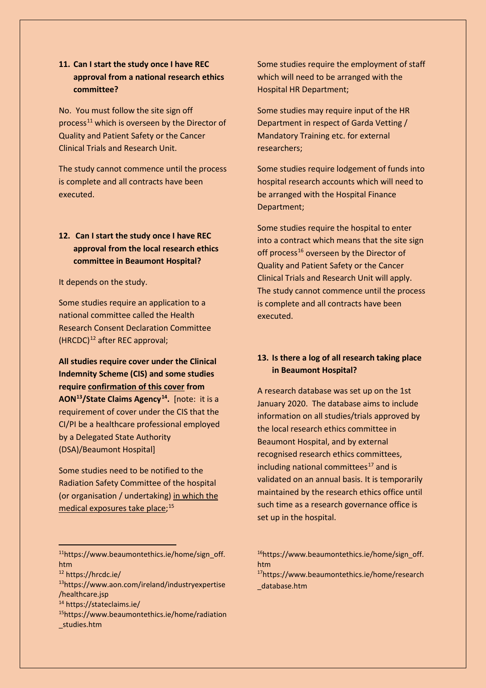# **11. Can I start the study once I have REC approval from a national research ethics committee?**

No. You must follow the site sign off process<sup>[11](#page-2-0)</sup> which is overseen by the Director of Quality and Patient Safety or the Cancer Clinical Trials and Research Unit.

The study cannot commence until the process is complete and all contracts have been executed.

# **12. Can I start the study once I have REC approval from the local research ethics committee in Beaumont Hospital?**

It depends on the study.

Some studies require an application to a national committee called the Health Research Consent Declaration Committee (HRCDC)[12](#page-2-1) after REC approval;

**All studies require cover under the Clinical Indemnity Scheme (CIS) and some studies require confirmation of this cover from AON[13/](#page-2-2)State Claims Agency[14.](#page-2-3)** [note: it is a requirement of cover under the CIS that the CI/PI be a healthcare professional employed by a Delegated State Authority (DSA)/Beaumont Hospital]

Some studies need to be notified to the Radiation Safety Committee of the hospital (or organisation / undertaking) in which the medical exposures take place;<sup>[15](#page-2-4)</sup>

Some studies require the employment of staff which will need to be arranged with the Hospital HR Department;

Some studies may require input of the HR Department in respect of Garda Vetting / Mandatory Training etc. for external researchers;

Some studies require lodgement of funds into hospital research accounts which will need to be arranged with the Hospital Finance Department;

Some studies require the hospital to enter into a contract which means that the site sign off process<sup>[16](#page-2-0)</sup> overseen by the Director of Quality and Patient Safety or the Cancer Clinical Trials and Research Unit will apply. The study cannot commence until the process is complete and all contracts have been executed.

## **13. Is there a log of all research taking place in Beaumont Hospital?**

A research database was set up on the 1st January 2020. The database aims to include information on all studies/trials approved by the local research ethics committee in Beaumont Hospital, and by external recognised research ethics committees, including national committees $17$  and is validated on an annual basis. It is temporarily maintained by the research ethics office until such time as a research governance office is set up in the hospital.

<span id="page-2-1"></span><sup>12</sup> <https://hrcdc.ie/>

 $\overline{a}$ 

- <span id="page-2-2"></span>1[3https://www.aon.com/ireland/industryexpertise](https://www.aon.com/ireland/industryexpertise/healthcare.jsp) [/healthcare.jsp](https://www.aon.com/ireland/industryexpertise/healthcare.jsp) 14 <https://stateclaims.ie/>1[5https://www.beaumontethics.ie/home/radiation](https://www.beaumontethics.ie/home/radiation_studies.htm)
- <span id="page-2-3"></span>
- <span id="page-2-4"></span>[\\_studies.htm](https://www.beaumontethics.ie/home/radiation_studies.htm)

1[7https://www.beaumontethics.ie/home/research](https://www.beaumontethics.ie/home/research_database.htm) [\\_database.htm](https://www.beaumontethics.ie/home/research_database.htm) 

<span id="page-2-0"></span><sup>1</sup>[1https://www.beaumontethics.ie/home/sign\\_off.](https://www.beaumontethics.ie/home/sign_off.htm) [htm](https://www.beaumontethics.ie/home/sign_off.htm)

<sup>1</sup>[6https://www.beaumontethics.ie/home/sign\\_off.](https://www.beaumontethics.ie/home/sign_off.htm) [htm](https://www.beaumontethics.ie/home/sign_off.htm)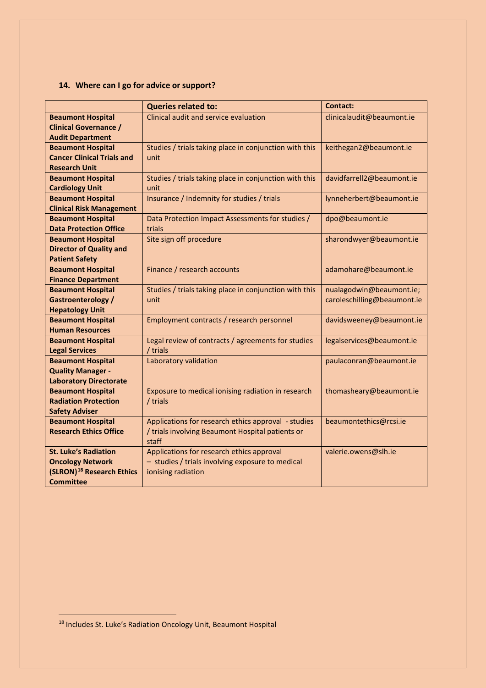# **14. Where can I go for advice or support?**

|                                       | <b>Queries related to:</b>                             | <b>Contact:</b>             |
|---------------------------------------|--------------------------------------------------------|-----------------------------|
| <b>Beaumont Hospital</b>              | Clinical audit and service evaluation                  | clinicalaudit@beaumont.ie   |
| <b>Clinical Governance /</b>          |                                                        |                             |
| <b>Audit Department</b>               |                                                        |                             |
| <b>Beaumont Hospital</b>              | Studies / trials taking place in conjunction with this | keithegan2@beaumont.ie      |
| <b>Cancer Clinical Trials and</b>     | unit                                                   |                             |
| <b>Research Unit</b>                  |                                                        |                             |
| <b>Beaumont Hospital</b>              | Studies / trials taking place in conjunction with this | davidfarrell2@beaumont.ie   |
| <b>Cardiology Unit</b>                | unit                                                   |                             |
| <b>Beaumont Hospital</b>              | Insurance / Indemnity for studies / trials             | lynneherbert@beaumont.ie    |
| <b>Clinical Risk Management</b>       |                                                        |                             |
| <b>Beaumont Hospital</b>              | Data Protection Impact Assessments for studies /       | dpo@beaumont.ie             |
| <b>Data Protection Office</b>         | trials                                                 |                             |
| <b>Beaumont Hospital</b>              | Site sign off procedure                                | sharondwyer@beaumont.ie     |
| <b>Director of Quality and</b>        |                                                        |                             |
| <b>Patient Safety</b>                 |                                                        |                             |
| <b>Beaumont Hospital</b>              | Finance / research accounts                            | adamohare@beaumont.ie       |
| <b>Finance Department</b>             |                                                        |                             |
| <b>Beaumont Hospital</b>              | Studies / trials taking place in conjunction with this | nualagodwin@beaumont.ie;    |
| <b>Gastroenterology /</b>             | unit                                                   | caroleschilling@beaumont.ie |
| <b>Hepatology Unit</b>                |                                                        |                             |
| <b>Beaumont Hospital</b>              | Employment contracts / research personnel              | davidsweeney@beaumont.ie    |
| <b>Human Resources</b>                |                                                        |                             |
| <b>Beaumont Hospital</b>              | Legal review of contracts / agreements for studies     | legalservices@beaumont.ie   |
| <b>Legal Services</b>                 | / trials                                               |                             |
| <b>Beaumont Hospital</b>              | Laboratory validation                                  | paulaconran@beaumont.ie     |
| <b>Quality Manager -</b>              |                                                        |                             |
| <b>Laboratory Directorate</b>         |                                                        |                             |
| <b>Beaumont Hospital</b>              | Exposure to medical ionising radiation in research     | thomasheary@beaumont.ie     |
| <b>Radiation Protection</b>           | / trials                                               |                             |
| <b>Safety Adviser</b>                 |                                                        |                             |
| <b>Beaumont Hospital</b>              | Applications for research ethics approval - studies    | beaumontethics@rcsi.ie      |
| <b>Research Ethics Office</b>         | / trials involving Beaumont Hospital patients or       |                             |
|                                       | staff                                                  |                             |
| <b>St. Luke's Radiation</b>           | Applications for research ethics approval              | valerie.owens@slh.ie        |
| <b>Oncology Network</b>               | - studies / trials involving exposure to medical       |                             |
| (SLRON) <sup>18</sup> Research Ethics | ionising radiation                                     |                             |
| <b>Committee</b>                      |                                                        |                             |

 $\overline{a}$ 

<span id="page-3-0"></span><sup>&</sup>lt;sup>18</sup> Includes St. Luke's Radiation Oncology Unit, Beaumont Hospital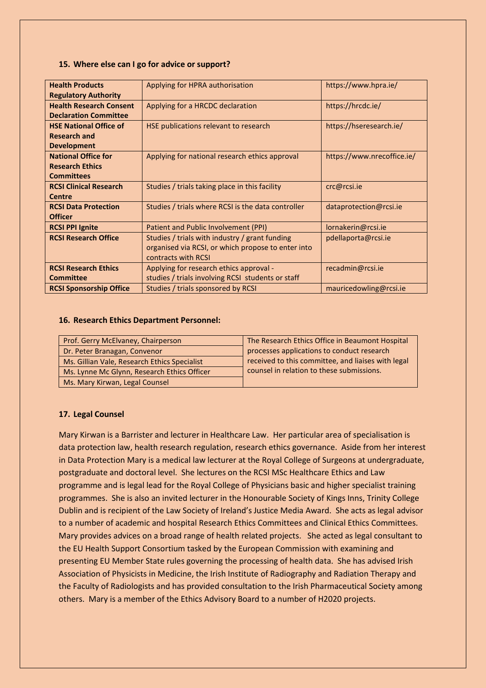#### **15. Where else can I go for advice or support?**

| Applying for HPRA authorisation                    | https://www.hpra.ie/                               |
|----------------------------------------------------|----------------------------------------------------|
|                                                    |                                                    |
| Applying for a HRCDC declaration                   | https://hrcdc.ie/                                  |
|                                                    |                                                    |
| HSE publications relevant to research              | https://hseresearch.ie/                            |
|                                                    |                                                    |
|                                                    |                                                    |
| Applying for national research ethics approval     | https://www.nrecoffice.ie/                         |
|                                                    |                                                    |
|                                                    |                                                    |
| Studies / trials taking place in this facility     | crc@rcsi.ie                                        |
|                                                    |                                                    |
| Studies / trials where RCSI is the data controller | dataprotection@rcsi.ie                             |
|                                                    |                                                    |
| Patient and Public Involvement (PPI)               | lornakerin@rcsi.ie                                 |
| Studies / trials with industry / grant funding     | pdellaporta@rcsi.ie                                |
|                                                    |                                                    |
| contracts with RCSI                                |                                                    |
| Applying for research ethics approval -            | recadmin@rcsi.ie                                   |
| studies / trials involving RCSI students or staff  |                                                    |
| Studies / trials sponsored by RCSI                 | mauricedowling@rcsi.ie                             |
|                                                    | organised via RCSI, or which propose to enter into |

#### **16. Research Ethics Department Personnel:**

| Prof. Gerry McElvaney, Chairperson           | The Research Ethics Office in Beaumont Hospital    |
|----------------------------------------------|----------------------------------------------------|
| Dr. Peter Branagan, Convenor                 | processes applications to conduct research         |
| Ms. Gillian Vale, Research Ethics Specialist | received to this committee, and liaises with legal |
| Ms. Lynne Mc Glynn, Research Ethics Officer  | counsel in relation to these submissions.          |
| Ms. Mary Kirwan, Legal Counsel               |                                                    |

## **17. Legal Counsel**

Mary Kirwan is a Barrister and lecturer in Healthcare Law. Her particular area of specialisation is data protection law, health research regulation, research ethics governance. Aside from her interest in Data Protection Mary is a medical law lecturer at the Royal College of Surgeons at undergraduate, postgraduate and doctoral level. She lectures on the RCSI MSc Healthcare Ethics and Law programme and is legal lead for the Royal College of Physicians basic and higher specialist training programmes. She is also an invited lecturer in the Honourable Society of Kings Inns, Trinity College Dublin and is recipient of the Law Society of Ireland's Justice Media Award. She acts as legal advisor to a number of academic and hospital Research Ethics Committees and Clinical Ethics Committees. Mary provides advices on a broad range of health related projects. She acted as legal consultant to the EU Health Support Consortium tasked by the European Commission with examining and presenting EU Member State rules governing the processing of health data. She has advised Irish Association of Physicists in Medicine, the Irish Institute of Radiography and Radiation Therapy and the Faculty of Radiologists and has provided consultation to the Irish Pharmaceutical Society among others. Mary is a member of the Ethics Advisory Board to a number of H2020 projects.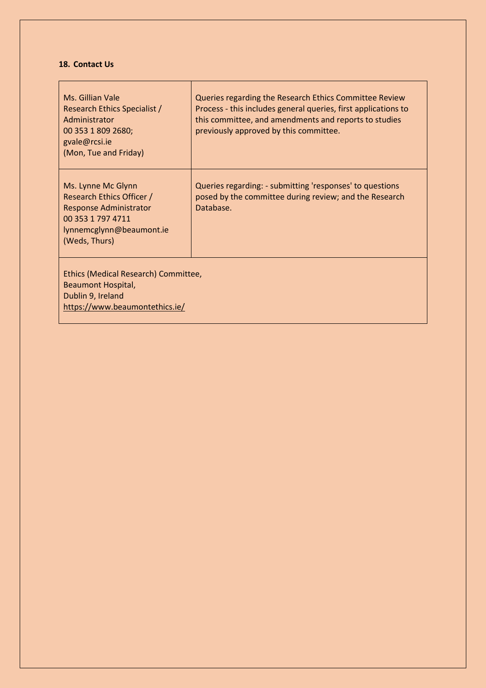## **18. Contact Us**

| Ms. Gillian Vale<br>Research Ethics Specialist /<br>Administrator<br>00 353 1 809 2680;<br>gvale@rcsi.ie<br>(Mon, Tue and Friday)                  | Queries regarding the Research Ethics Committee Review<br>Process - this includes general queries, first applications to<br>this committee, and amendments and reports to studies<br>previously approved by this committee. |
|----------------------------------------------------------------------------------------------------------------------------------------------------|-----------------------------------------------------------------------------------------------------------------------------------------------------------------------------------------------------------------------------|
| Ms. Lynne Mc Glynn<br>Research Ethics Officer /<br><b>Response Administrator</b><br>00 353 1 797 4711<br>lynnemcglynn@beaumont.ie<br>(Weds, Thurs) | Queries regarding: - submitting 'responses' to questions<br>posed by the committee during review; and the Research<br>Database.                                                                                             |
| Ethics (Medical Research) Committee,<br>Beaumont Hospital,<br>Dublin 9, Ireland<br>https://www.beaumontethics.ie/                                  |                                                                                                                                                                                                                             |